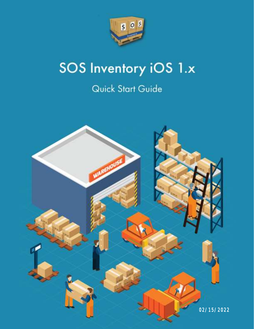

# SOS Inventory iOS 1.x

# Quick Start Guide

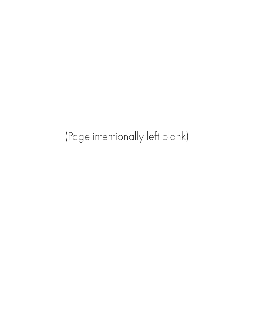(Page intentionally left blank)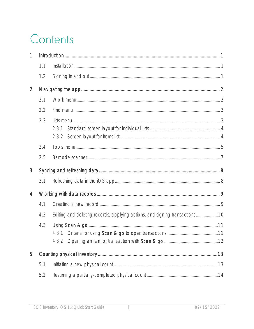# Contents

| $\mathbf{1}$   |     |                                                                            |  |  |  |  |
|----------------|-----|----------------------------------------------------------------------------|--|--|--|--|
|                | 1.1 |                                                                            |  |  |  |  |
|                | 1.2 |                                                                            |  |  |  |  |
| 2              |     |                                                                            |  |  |  |  |
|                | 2.1 |                                                                            |  |  |  |  |
|                | 2.2 |                                                                            |  |  |  |  |
|                | 2.3 |                                                                            |  |  |  |  |
|                |     |                                                                            |  |  |  |  |
|                |     |                                                                            |  |  |  |  |
|                | 2.4 |                                                                            |  |  |  |  |
|                | 2.5 |                                                                            |  |  |  |  |
| 3              |     |                                                                            |  |  |  |  |
|                |     |                                                                            |  |  |  |  |
|                | 3.1 |                                                                            |  |  |  |  |
| $\overline{4}$ |     |                                                                            |  |  |  |  |
|                | 4.1 |                                                                            |  |  |  |  |
|                | 4.2 | Editing and deleting records, applying actions, and signing transactions10 |  |  |  |  |
|                | 4.3 |                                                                            |  |  |  |  |
|                |     |                                                                            |  |  |  |  |
|                |     |                                                                            |  |  |  |  |
| 5              |     |                                                                            |  |  |  |  |
|                | 5.1 |                                                                            |  |  |  |  |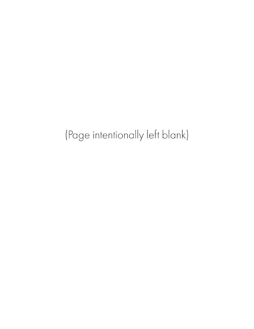(Page intentionally left blank)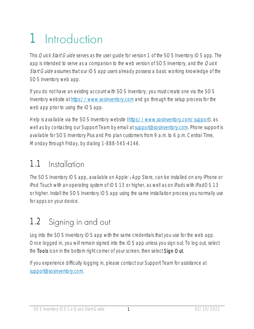## <span id="page-4-0"></span>Introduction 1

This *Quick Start Guide* serves as the user quide for version 1 of the SOS Inventory iOS app. The app is intended to serve as a companion to the web version of SOS Inventory, and the Quick Start Guide assumes that our iOS app users already possess a basic working knowledge of the SOS Inventory web app.

If you do not have an existing account with SOS Inventory, you must create one via the SOS Inventory website at [https://www.sosinventory.com](https://www.sosinventory.com/) and go through the setup process for the web app prior to using the iOS app.

Help is available via the SOS Inventory website [\(https://www.sosinventory.com/support\)](https://www.sosinventory.com/support), as well as by contacting our Support Team by email at [support@sosinventory.com.](mailto:support@sosinventory.com) Phone support is available for SOS Inventory Plus and Pro plan customers from 9 a.m. to 6 p.m. Central Time, Monday through Friday, by dialing 1-888-545-4146.

### <span id="page-4-1"></span>Installation 1.1

The SOS Inventory iOS app, available on Apple's App Store, can be installed on any iPhone or iPod Touch with an operating system of iOS 13 or higher, as well as on iPads with iPadOS 13 or higher. Install the SOS Inventory iOS app using the same installation process you normally use for apps on your device.

## <span id="page-4-2"></span>1.2 Signing in and out

Log into the SOS Inventory iOS app with the same credentials that you use for the web app. Once logged in, you will remain signed into the iOS app unless you sign out. To log out, select the Tools icon in the bottom right corner of your screen, then select Sign Out.

If you experience difficulty logging in, please contact our Support Team for assistance at [support@sosinventory.com.](mailto:support@sosinventory.com)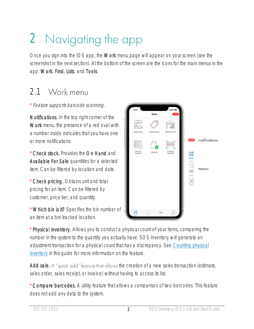# <span id="page-5-0"></span>2 Navigating the app

Once you sign into the iOS app, the Work menu page will appear on your screen (see the screenshot in the next section). At the bottom of the screen are the icons for the main menus in the app: Work, Find, Lists, and Tools.

# <span id="page-5-1"></span>2.1 Work menu

\*Feature supports barcode scanning.

Notifications. In the top right corner of the Work menu, the presence of a red oval with a number inside indicates that you have one or more notifications.

\*Check stock. Provides the On Hand and Available For Sale quantities for a selected item. Can be filtered by location and date.

\*Check pricing. Obtains unit and total pricing for an item. Can be filtered by customer, price tier, and quantity.

\*Which bin is it? Specifies the bin number of an item at a bin-tracked location.



\*Physical inventory. Allows you to conduct a physical count of your items, comparing the number in the system to the quantity you actually have. SOS Inventory will generate an adjustment transaction for a physical count that has a discrepancy. See [Counting physical](#page-12-0)  [inventory](#page-12-0) in this guide for more information on the feature.

Add sale. A "quick add" feature that allows the creation of a new sales transaction (estimate, sales order, sales receipt, or invoice) without having to access its list.

\*Compare barcodes. A utility feature that allows a comparison of two barcodes. This feature does not add any data to the system.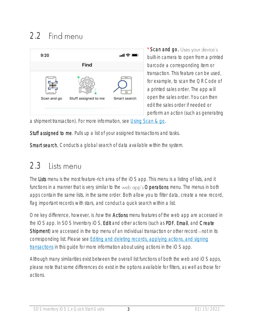# <span id="page-6-0"></span>2.2 Find menu



\*Scan and go. Uses your device's built-in camera to open from a printed barcode a corresponding item or transaction. This feature can be used, for example, to scan the QR Code of a printed sales order. The app will open the sales order. You can then edit the sales order if needed or perform an action (such as generating

a shipment transaction). For more information, see [Using Scan & go.](#page-14-0)

Stuff assigned to me. Pulls up a list of your assigned transactions and tasks.

Smart search. Conducts a global search of data available within the system.

### <span id="page-6-1"></span>2.3 lists menu

The Lists menu is the most feature-rich area of the iOS app. This menu is a listing of lists, and it functions in a manner that is very similar to the web app's Operations menu. The menus in both apps contain the same lists, in the same order. Both allow you to filter data, create a new record, flag important records with stars, and conduct a quick search within a list.

One key difference, however, is *how* the **Actions** menu features of the web app are accessed in the iOS app. In SOS Inventory iOS, Edit and other actions (such as PDF, Email, and Create Shipment) are accessed in the top menu of an individual transaction or other record-not in its corresponding list. Please see [Editing and deleting records, applying actions, and signing](#page-13-0)  [transactions](#page-13-0) in this guide for more information about using actions in the iOS app.

Although many similarities exist between the overall list functions of both the web and iOS apps, please note that some differences do exist in the options available for filters, as well as those for actions.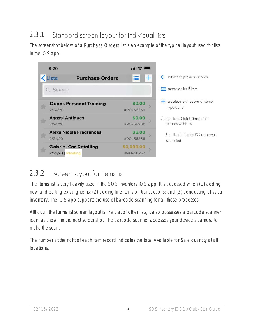#### <span id="page-7-0"></span>Standard screen layout for individual lists 2.3.1

The screenshot below of a **Purchase Orders** list is an example of the typical layout used for lists in the iOS app:

| 9:20                                                | $m \approx$             |                                                    |
|-----------------------------------------------------|-------------------------|----------------------------------------------------|
| ists<br><b>Purchase Orders</b>                      | $\bm{+}$<br>⋿           | returns to previous screen                         |
| Q Search                                            |                         | ist Filters                                        |
| <b>Quads Personal Training</b><br>2/24/20           | \$0.00<br>#PO-56259     | creates new record of same<br>type as list         |
| <b>Agassi Antiques</b><br>2/24/20                   | \$0.00<br>#PO-56260     | Q conducts Quick Search for<br>records within list |
| <b>Alexa Nicole Fragrances</b><br>2/21/20           | \$6.00<br>#PO-56258     | Pending indicates PO approval<br>is needed         |
| <b>Gabriel Car Detailing</b><br>$2/21/20$   Pending | \$3,099.00<br>#PO-56257 |                                                    |

#### <span id="page-7-1"></span>Screen layout for Items list 2.3.2

The Items list is very heavily used in the SOS Inventory iOS app. It is accessed when (1) adding new and editing existing items; (2) adding line items on transactions; and (3) conducting physical inventory. The iOS app supports the use of barcode scanning for all these processes.

Although the **Items** list screen layout is like that of other lists, it also possesses a barcode scanner icon, as shown in the next screenshot. The barcode scanner accesses your device's camera to make the scan.

The number at the right of each item record indicates the total Available for Sale quantity at all locations.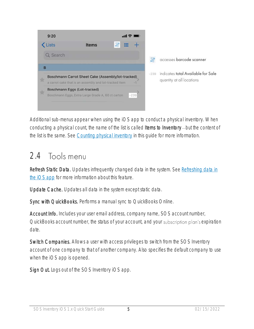

Additional sub-menus appear when using the iOS app to conduct a physical inventory. When conducting a physical count, the name of the list is called Items to Inventory—but the content of the list is the same. See [Counting physical inventory](#page-16-0) in this guide for more information.

## <span id="page-8-0"></span>2.4 Tools menu

Refresh Static Data. Updates infrequently changed data in the system. See Refreshing data in [the iOS app](#page-11-1) for more information about this feature.

Update Cache. Updates all data in the system except static data.

Sync with QuickBooks. Performs a manual sync to QuickBooks Online.

Account Info. Includes your user email address, company name, SOS account number, QuickBooks account number, the status of your account, and your subscription plan's expiration date.

Switch Companies. Allows a user with access privileges to switch from the SOS Inventory account of one company to that of another company. Also specifies the default company to use when the iOS app is opened.

Sign Out. Logs out of the SOS Inventory iOS app.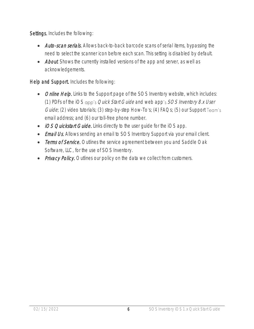Settings. Includes the following:

- Auto-scan serials. Allows back-to-back barcode scans of serial items, bypassing the need to select the scanner icon before each scan. This setting is disabled by default.
- About. Shows the currently installed versions of the app and server, as well as acknowledgements.

## Help and Support. Includes the following:

- **Online Help.** Links to the Support page of the SOS Inventory website, which includes: (1) PDFs of the iOS app's *Quick Start Guide* and web app's *SOS Inventory 8.x User* Guide; (2) video tutorials; (3) step-by-step How-To's; (4) FAQs; (5) our Support Team's email address; and (6) our toll-free phone number.
- *iOS Quickstart Guide*. Links directly to the user quide for the iOS app.
- Email Us. Allows sending an email to SOS Inventory Support via your email client.
- Terms of Service. Outlines the service agreement between you and Saddle Oak Software, LLC, for the use of SOS Inventory.
- Privacy Policy. Outlines our policy on the data we collect from customers.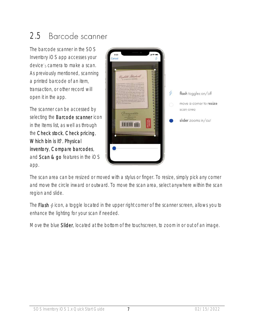# <span id="page-10-0"></span>2.5 Barcode scanner

The barcode scanner in the SOS Inventory iOS app accesses your device's camera to make a scan. As previously mentioned, scanning a printed barcode of an item, transaction, or other record will open it in the app.

The scanner can be accessed by selecting the **Barcode scanner** icon in the Items list, as well as through the Check stock, Check pricing, Which bin is it?, Physical inventory, Compare barcodes, and Scan & go features in the iOS app.



The scan area can be resized or moved with a stylus or finger. To resize, simply pick any corner and move the circle inward or outward. To move the scan area, select anywhere within the scan region and slide.

The Flash  $\oint$  icon, a toggle located in the upper right corner of the scanner screen, allows you to enhance the lighting for your scan if needed.

Move the blue Slider, located at the bottom of the touchscreen, to zoom in or out of an image.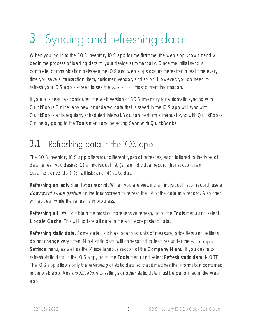# <span id="page-11-0"></span>3 Syncing and refreshing data

When you log in to the SOS Inventory iOS app for the first time, the web app knows it and will begin the process of loading data to your device automatically. Once the initial sync is complete, communication between the iOS and web apps occurs thereafter in real time every time you save a transaction, item, customer, vendor, and so on. However, you do need to refresh your iOS app's screen to see the web app's most current information.

If your business has configured the web version of SOS Inventory for automatic syncing with QuickBooks Online, any new or updated data that is saved in the iOS app will sync with QuickBooks at its regularly scheduled interval. You can perform a manual sync with QuickBooks Online by going to the Tools menu and selecting Sync with QuickBooks.

### <span id="page-11-1"></span>3.1 Refreshing data in the  $iOS$  app

The SOS Inventory iOS app offers four different types of refreshes, each tailored to the type of data refresh you desire: (1) an individual list; (2) an individual record (transaction, item, customer, or vendor); (3) all lists; and (4) static data.

Refreshing an individual list or record. When you are viewing an individual list or record, use a downward swipe gesture on the touchscreen to refresh the list or the data in a record. A spinner will appear while the refresh is in progress.

Refreshing all lists. To obtain the most comprehensive refresh, go to the Tools menu and select Update Cache. This will update all data in the app except static data.

Refreshing static data. Some data—such as locations, units of measure, price tiers and settings do not change very often. Most static data will correspond to features under the Settings menu, as well as the Miscellaneous section of the Company Menu. If you desire to refresh static data in the iOS app, go to the **Tools** menu and select **Refresh static data**. NOTE: The iOS app allows only the *refreshing* of static data so that it matches the information contained in the web app. Any *modifications* to settings or other static data must be performed in the web app.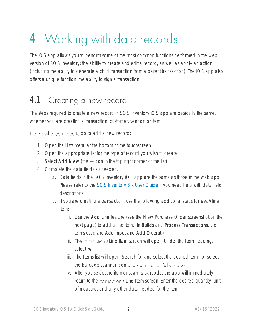# <span id="page-12-0"></span>4 Working with data records

The iOS app allows you to perform some of the most common functions performed in the web version of SOS Inventory: the ability to create and edit a record, as well as apply an action (including the ability to generate a child transaction from a parent transaction). The iOS app also offers a unique function: the ability to sign a transaction.

### <span id="page-12-1"></span>Creating a new record 4.1

The steps required to create a new record in SOS Inventory iOS app are basically the same, whether you are creating a transaction, customer, vendor, or item.

Here's what you need to do to add a new record:

- 1. Open the Lists menu at the bottom of the touchscreen.
- 2. Open the appropriate list for the type of record you wish to create.
- 3. Select Add New (the **+** icon in the top right corner of the list).
- 4. Complete the data fields as needed.
	- a. Data fields in the SOS Inventory iOS app are the same as those in the web app. Please refer to the [SOS Inventory 8.x User Guide](https://www.sosinventory.com/sos-inventory-users-guide) if you need help with data field descriptions.
	- b. If you are creating a transaction, use the following additional steps for each line item:
		- i. Use the Add Line feature (see the New Purchase Order screenshot on the next page) to add a line item. (In Builds and Process Transactions, the terms used are Add Input and Add Output.)
		- ii. The transaction's Line Item screen will open. Under the Item heading, select >.
		- iii. The **Items** list will open. Search for and select the desired item—or select the barcode scanner icon and scan the item's barcode.
		- iv. After you select the item or scan its barcode, the app will immediately return to the transaction's Line Item screen. Enter the desired quantity, unit of measure, and any other data needed for the item.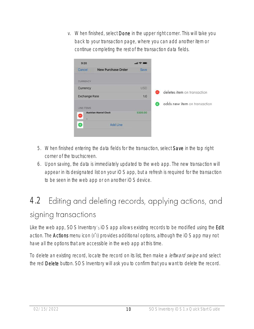v. When finished, select Done in the upper right corner. This will take you back to your transaction page, where you can add another item or continue completing the rest of the transaction data fields.



- 5. When finished entering the data fields for the transaction, select Save in the top right corner of the touchscreen.
- 6. Upon saving, the data is immediately updated to the web app. The new transaction will appear in its designated list on your iOS app, but a refresh is required for the transaction to be seen in the web app or on another iOS device.

## <span id="page-13-0"></span>Editing and deleting records, applying actions, and 4.2 signing transactions

Like the web app, SOS Inventory's iOS app allows existing records to be modified using the Edit action. The **Actions** menu icon  $(\hat{\bf r})$  provides additional options, although the iOS app may not have all the options that are accessible in the web app at this time.

To delete an existing record, locate the record on its list, then make a *leftward swipe* and select the red Delete button. SOS Inventory will ask you to confirm that you want to delete the record.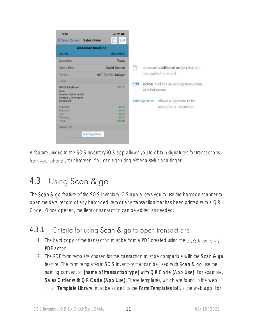

A feature unique to the SOS Inventory iOS app allows you to obtain signatures for transactions from your phone's touchscreen. You can sign using either a stylus or a finger.

### <span id="page-14-0"></span>Using Scan & go 4.3

The Scan & go feature of the SOS Inventory iOS app allows you to use the barcode scanner to open the data record of any barcoded item or any transaction that has been printed with a QR Code. Once opened, the item or transaction can be edited as needed.

#### <span id="page-14-1"></span>4.3.1 Criteria for using Scan & go to open transactions

- 1. The hard copy of the transaction must be from a PDF created using the PDF action.
- 2. The PDF form template chosen for the transaction must be compatible with the Scan & go feature. The form templates in SOS Inventory that can be used with Scan & go use the naming convention [name of transaction type] with QR Code (App Use). For example, Sales Order with QR Code (App Use). These templates, which are found in the web app's Template Library, must be added to the Form Templates list via the web app. For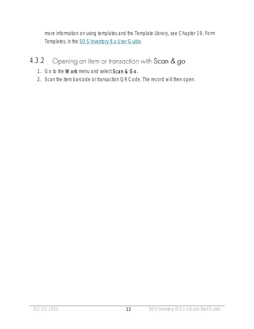more information on using templates and the Template Library, see Chapter 19, Form Templates, in the **SOS Inventory 8.x User Guide**.

- <span id="page-15-0"></span>4.3.2 Opening an item or transaction with Scan & go
	- 1. Go to the Work menu and select Scan & Go.
	- 2. Scan the item barcode or transaction QR Code. The record will then open.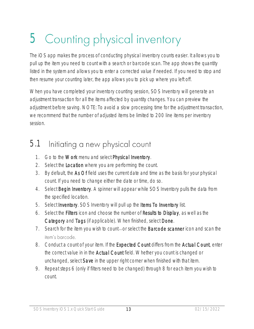# <span id="page-16-0"></span>5 Counting physical inventory

The iOS app makes the process of conducting physical inventory counts easier. It allows you to pull up the item you need to count with a search or barcode scan. The app shows the quantity listed in the system and allows you to enter a corrected value if needed. If you need to stop and then resume your counting later, the app allows you to pick up where you left off.

When you have completed your inventory counting session, SOS Inventory will generate an adjustment transaction for all the items affected by quantity changes. You can preview the adjustment before saving. NOTE: To avoid a slow processing time for the adjustment transaction, we recommend that the number of adjusted items be limited to 200 line items per inventory session.

### <span id="page-16-1"></span>5.1 Initiating a new physical count

- 1. Go to the Work menu and select Physical Inventory.
- 2. Select the **Location** where you are performing the count.
- 3. By default, the As Of field uses the current date and time as the basis for your physical count. If you need to change either the date or time, do so.
- 4. Select **Begin Inventory**. A spinner will appear while SOS Inventory pulls the data from the specified location.
- 5. Select Inventory. SOS Inventory will pull up the Items To Inventory list.
- 6. Select the Filters icon and choose the number of Results to Display, as well as the Category and Tags (if applicable). When finished, select Done.
- 7. Search for the item you wish to count—or select the **Barcode scanner** icon and scan the item's barcode.
- 8. Conduct a count of your item. If the Expected Count differs from the Actual Count, enter the correct value in in the Actual Count field. Whether you count is changed or unchanged, select Save in the upper right corner when finished with that item.
- 9. Repeat steps 6 (only if filters need to be changed) through 8 for each item you wish to count.